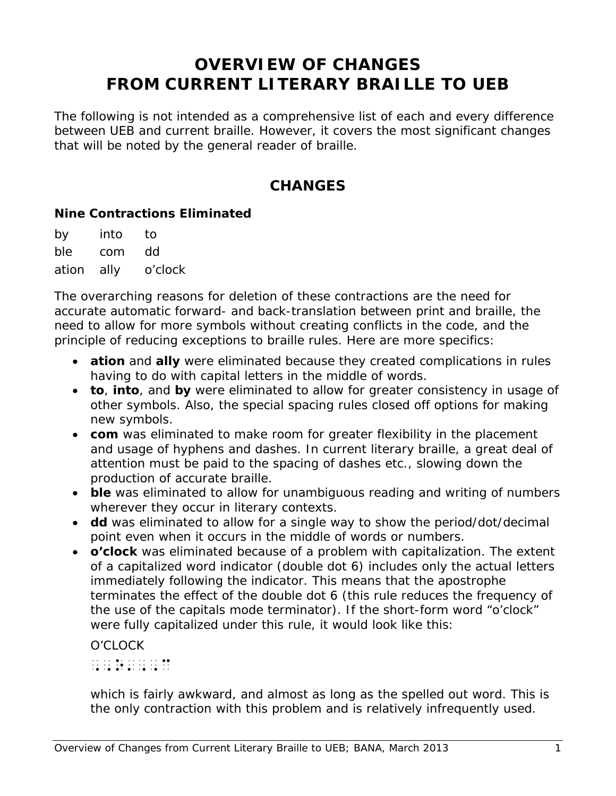# **OVERVIEW OF CHANGES FROM CURRENT LITERARY BRAILLE TO UEB**

The following is not intended as a comprehensive list of each and every difference between UEB and current braille. However, it covers the most significant changes that will be noted by the general reader of braille.

## **CHANGES**

#### **Nine Contractions Eliminated**

by into to ble com dd ation ally o'clock

The overarching reasons for deletion of these contractions are the need for accurate automatic forward- and back-translation between print and braille, the need to allow for more symbols without creating conflicts in the code, and the principle of reducing exceptions to braille rules. Here are more specifics:

- **ation** and **ally** were eliminated because they created complications in rules having to do with capital letters in the middle of words.
- **to**, **into**, and **by** were eliminated to allow for greater consistency in usage of other symbols. Also, the special spacing rules closed off options for making new symbols.
- **com** was eliminated to make room for greater flexibility in the placement and usage of hyphens and dashes. In current literary braille, a great deal of attention must be paid to the spacing of dashes etc., slowing down the production of accurate braille.
- **ble** was eliminated to allow for unambiguous reading and writing of numbers wherever they occur in literary contexts.
- **dd** was eliminated to allow for a single way to show the period/dot/decimal point even when it occurs in the middle of words or numbers.
- **o'clock** was eliminated because of a problem with capitalization. The extent of a capitalized word indicator (double dot 6) includes only the actual letters immediately following the indicator. This means that the apostrophe terminates the effect of the double dot 6 (this rule reduces the frequency of the use of the capitals mode terminator). If the short-form word "o'clock" were fully capitalized under this rule, it would look like this:

## O'CLOCK

## ,,o',,c

which is fairly awkward, and almost as long as the spelled out word. This is the only contraction with this problem and is relatively infrequently used.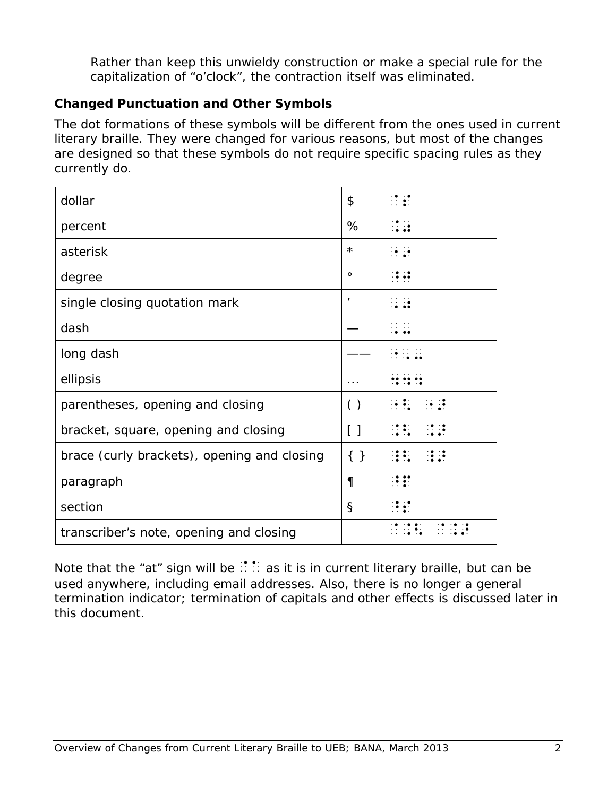Rather than keep this unwieldy construction or make a special rule for the capitalization of "o'clock", the contraction itself was eliminated.

### **Changed Punctuation and Other Symbols**

The dot formations of these symbols will be different from the ones used in current literary braille. They were changed for various reasons, but most of the changes are designed so that these symbols do not require specific spacing rules as they currently do.

| dollar                                      | \$                 | $\mathbb{R}$                 |
|---------------------------------------------|--------------------|------------------------------|
| percent                                     | %                  | 11 12                        |
| asterisk                                    | $\star$            | $\frac{1}{2}$                |
| degree                                      | $\circ$            | $\ddotsc$                    |
| single closing quotation mark               | $\mathbf{r}$       | $\dddot{\bullet}$            |
| dash                                        |                    |                              |
| long dash                                   |                    |                              |
| ellipsis                                    | .                  |                              |
| parentheses, opening and closing            | $\left( \ \right)$ | $\mathbb{R}$<br>$\mathbb{R}$ |
| bracket, square, opening and closing        | $\lceil$ 1         | $\mathbb{R}$                 |
|                                             |                    |                              |
| brace (curly brackets), opening and closing | $\{\}$             | $\mathbb{R}^2$               |
| paragraph                                   | $\P$               | $\mathbb{R}$                 |
| section                                     | $\S$               | 19. RD                       |

Note that the "at" sign will be  $\therefore$  as it is in current literary braille, but can be used anywhere, including email addresses. Also, there is no longer a general termination indicator; termination of capitals and other effects is discussed later in this document.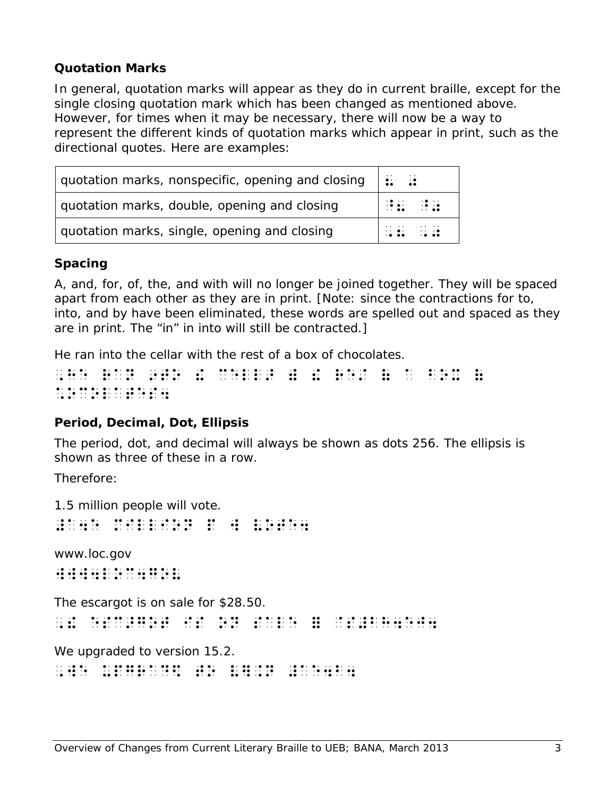### **Quotation Marks**

In general, quotation marks will appear as they do in current braille, except for the single closing quotation mark which has been changed as mentioned above. However, for times when it may be necessary, there will now be a way to represent the different kinds of quotation marks which appear in print, such as the directional quotes. Here are examples:

| quotation marks, nonspecific, opening and closing | <b>Billian St</b>        |
|---------------------------------------------------|--------------------------|
| quotation marks, double, opening and closing      | <b>HERE IN STRATEGIE</b> |
| quotation marks, single, opening and closing      | .                        |

### **Spacing**

*A, and, for, of, the,* and *with* will no longer be joined together. They will be spaced apart from each other as they are in print. [Note: since the contractions for *to, into*, and *by* have been eliminated, these words are spelled out and spaced as they are in print. The "in" in *into* will still be contracted.]

He ran into the cellar with the rest of a box of chocolates.

,he ran 9to 1950 and 1950 and 1960 and 1960 and 1960 and 1960 and 1960 and 1960 and 1960 and 1970.<br>The ran 1970 and 1980 and 1980 and 1970 and 1980 and 1980 and 1980 and 1980 and 1980 and 1980 and 1980 and 19<br>The first con \*ocolates4

## **Period, Decimal, Dot, Ellipsis**

The period, dot, and decimal will always be shown as dots 256. The ellipsis is shown as three of these in a row.

Therefore:

1.5 million people will vote.

= a de la contra de la contra de la contra de la contra de la contra de la contra de la contra de la contra de<br>1940 : la contra de la contra de la contra de la contra de la contra de la contra de la contra de la contra de<br>

www.loc.gov www4loc4gov

The escargot is on sale for \$28.50.

, esc : esc : esc : esc : esc : esc : esc : esc : esc : esc : esc : esc : esc : esc : esc : esc : esc : esc :<br>de ser : esc : esc : esc : esc : esc : esc : esc : esc : esc : esc : esc : esc : esc : esc : esc : esc : esc<br>de

We upgraded to version 15.2.

,we up a complete the second complete to view of the second complete to view of the second complete to view of<br>The second complete to second complete to second complete to view second second complete to view second comple<br>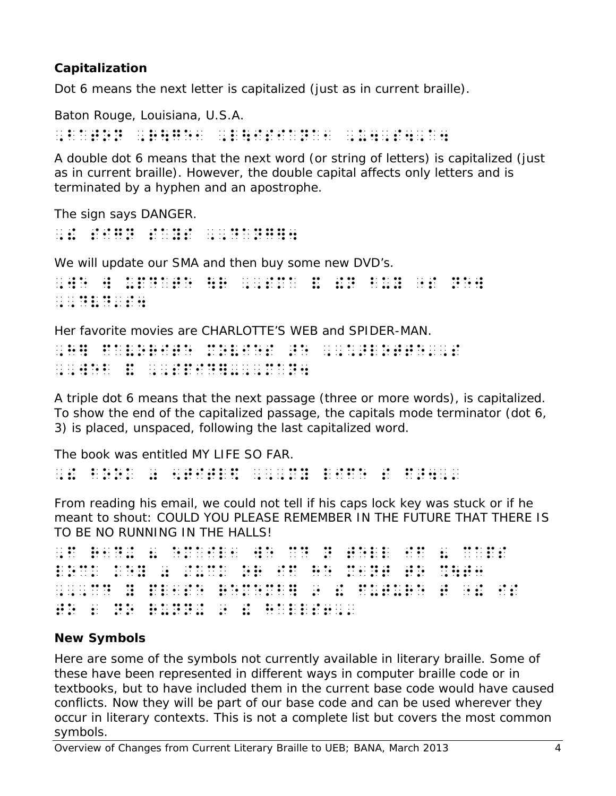## **Capitalization**

Dot 6 means the next letter is capitalized (just as in current braille).

Baton Rouge, Louisiana, U.S.A.

, baton , baton , baton , baton , baton , baton , baton , baton , baton , baton , baton , baton , baton , bato<br>1 , baton , baton , baton , baton , baton , baton , baton , baton , baton , baton , baton , baton , baton , b<br>1

A double dot 6 means that the next word (or string of letters) is capitalized (just as in current braille). However, the double capital affects only letters and is terminated by a hyphen and an apostrophe.

The sign says DANGER.

,! sign says ,,dang]4

We will update our SMA and then buy some new DVD's. , we will denote the set of  $\mathcal{H}$  , and  $\mathcal{H}$  , and  $\mathcal{H}$  , and  $\mathcal{H}$  , and  $\mathcal{H}$ ,,dvd's4

Her favorite movies are CHARLOTTE'S WEB and SPIDER-MAN.

, hande aan die beskryf van die beskryf van die beskryf van die beskryf van die beskryf van die beskryf van di<br>1960 – Die volgens van die beskryf van die beskryf van die beskryf van die beskryf van die beskryf van die bes<br> ,,web & ,,spid]-,,man4

A triple dot 6 means that the next passage (three or more words), is capitalized. To show the end of the capitalized passage, the capitals mode terminator (dot 6, 3) is placed, unspaced, following the last capitalized word.

The book was entitled MY LIFE SO FAR. , and the contract of the contract of the contract of the contract of the contract of the contract of the contr<br>The contract of the contract of the contract of the contract of the contract of the contract of the contract

From reading his email, we could not tell if his caps lock key was stuck or if he meant to shout: COULD YOU PLEASE REMEMBER IN THE FUTURE THAT THERE IS TO BE NO RUNNING IN THE HALLS!

```
, f and the second comparison and the second comparison and the second comparison and the second second second<br>The second is the second second the second second second second second second second second second second seco<br>
lock key op die groot van die gewone van die groot van die groot van die groot van die groot van die groot van<br>Die groot van die groot van die groot van die groot van die groot van die groot van die groot van die groot va<br>
,,,cd y pl1se rememb] 9 ! future t "! is
to 2 no runn+ 9 ! halls6,'
```
## **New Symbols**

Here are some of the symbols not currently available in literary braille. Some of these have been represented in different ways in computer braille code or in textbooks, but to have included them in the current base code would have caused conflicts. Now they will be part of our base code and can be used wherever they occur in literary contexts. This is not a complete list but covers the most common symbols.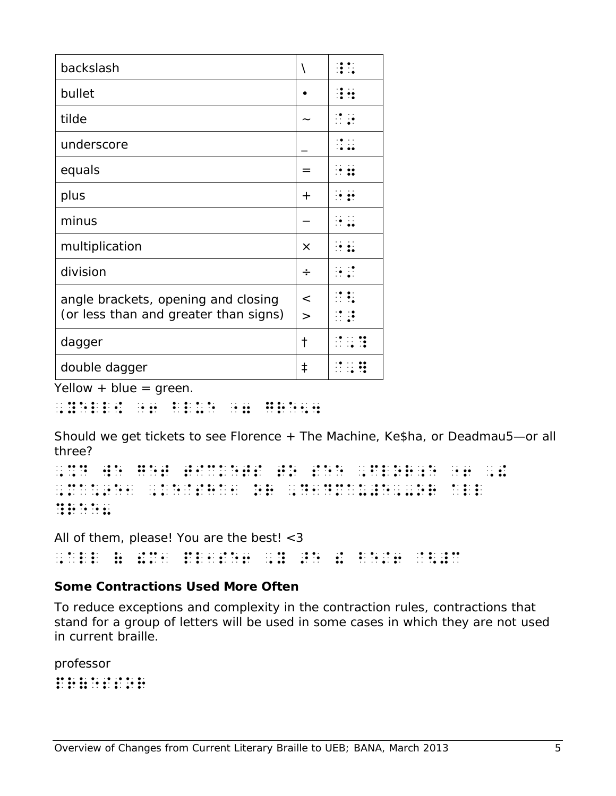| backslash                                                                    | ∖               |                        |
|------------------------------------------------------------------------------|-----------------|------------------------|
| bullet                                                                       |                 |                        |
| tilde                                                                        |                 | $\mathbf{R}^{\bullet}$ |
| underscore                                                                   |                 |                        |
| equals                                                                       | =               |                        |
| plus                                                                         | $\pm$           |                        |
| minus                                                                        |                 |                        |
| multiplication                                                               | $\times$        |                        |
| division                                                                     | $\div$          |                        |
| angle brackets, opening and closing<br>(or less than and greater than signs) | $\,<$<br>$\geq$ |                        |
| dagger                                                                       | t               |                        |
| double dagger                                                                | ŧ               |                        |

 $Yellow + blue = green.$ 

, yeller er er reich in der en er er reich in de er er reich.<br>1964 - Gereffen der Freien der Staatsmannen († 1886).<br>1975 - Gereffen der Freien in der en er er en er er er er en en

Should we get tickets to see Florence + The Machine, Ke\$ha, or Deadmau5—or all three?

, se de literarie en de este indice de este ties de literaries de literaries este servicies de literaries prod<br>1967 : de literarie de se de literaries de la de la de la servicie de literaries de literaries de literaries<br>19 , material species in the energy experimental species in the species of the species in the species in the specie<br>The species is the species of the species in the species in the species of the species in the species in the **Reese** 

All of them, please! You are the best! <3

, all discolutions and the device of the device in the first section of the discolution of the discolution of<br>The line plans and the street of the discolution of the street of the street section of the discolution of th<br>Th

## **Some Contractions Used More Often**

To reduce exceptions and complexity in the contraction rules, contractions that stand for a group of letters will be used in some cases in which they are not used in current braille.

professor  $p_1$  ,  $p_2$  ,  $p_3$  ,  $p_4$  ,  $p_5$  ,  $p_6$  ,  $p_7$  ,  $p_8$  ,  $p_9$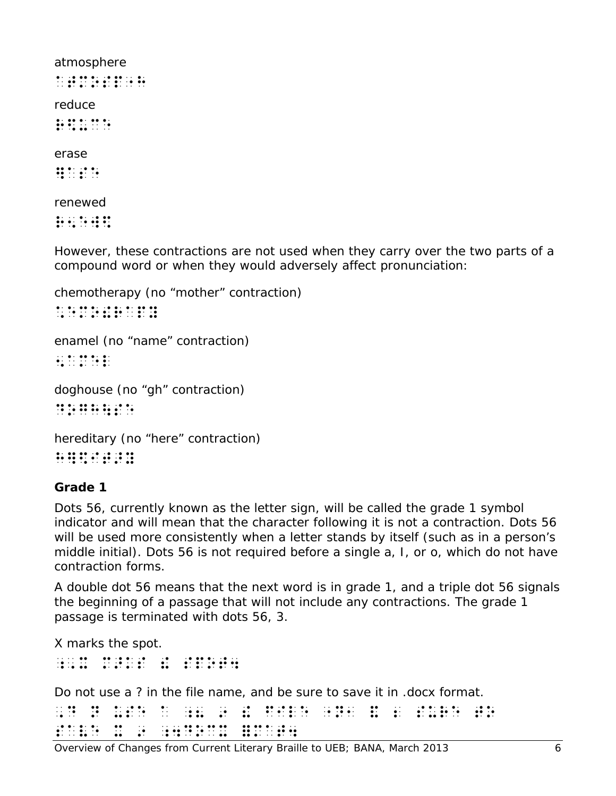atmosphere atmosphere at mosphere at a reduce  $\frac{1}{2}$ 

erase

]ase

renewed

 $\mathbf{r}$  is  $\mathbf{r}$  in  $\mathbf{r}$ 

However, these contractions are not used when they carry over the two parts of a compound word or when they would adversely affect pronunciation:

```
chemotherapy (no "mother" contraction)
*emo!rapy
enamel (no "name" contraction)
5amel
doghouse (no "gh" contraction)
dogh\se
hereditary (no "here" contraction)
```
h]\$it>y

#### **Grade 1**

Dots 56, currently known as the letter sign, will be called the grade 1 symbol indicator and will mean that the character following it is not a contraction. Dots 56 will be used more consistently when a letter stands by itself (such as in a person's middle initial). Dots 56 is not required before a single a, I, or o, which do not have contraction forms.

A double dot 56 means that the next word is in grade 1, and a triple dot 56 signals the beginning of a passage that will not include any contractions. The grade 1 passage is terminated with dots 56, 3.

X marks the spot.

;,x m>ks ! spot4

Do not use a ? in the file name, and be sure to save it in .docx format.

|  |  |  |  |  | . I DE LOS DE LOS DE LOS DE LOS DE LOS DE LOS DE LOS DE LOS DE LOS DE LOS DE LOS DE LOS DE LOS DE LOS DE LOS D<br>ing and digital general and an and the company and an annual state of the company of the company of the company                                                                                                                                                                                                                             |  |  |  |  |  |  | $\cdot \cdot \cdot \cdot$<br>$\bullet\bullet\quad \bullet$ |  |
|--|--|--|--|--|---------------------------------------------------------------------------------------------------------------------------------------------------------------------------------------------------------------------------------------------------------------------------------------------------------------------------------------------------------------------------------------------------------------------------------------------------------------|--|--|--|--|--|--|------------------------------------------------------------|--|
|  |  |  |  |  | . The company is a company of the company of the company of the company of the company of the company of the company of the company of the company of the company of the company of the company of the company of the company<br>. A second second and the second second and a second second second second second second second second second second second second second second second second second second second second second second second second second |  |  |  |  |  |  |                                                            |  |

Overview of Changes from Current Literary Braille to UEB; BANA, March 2013 6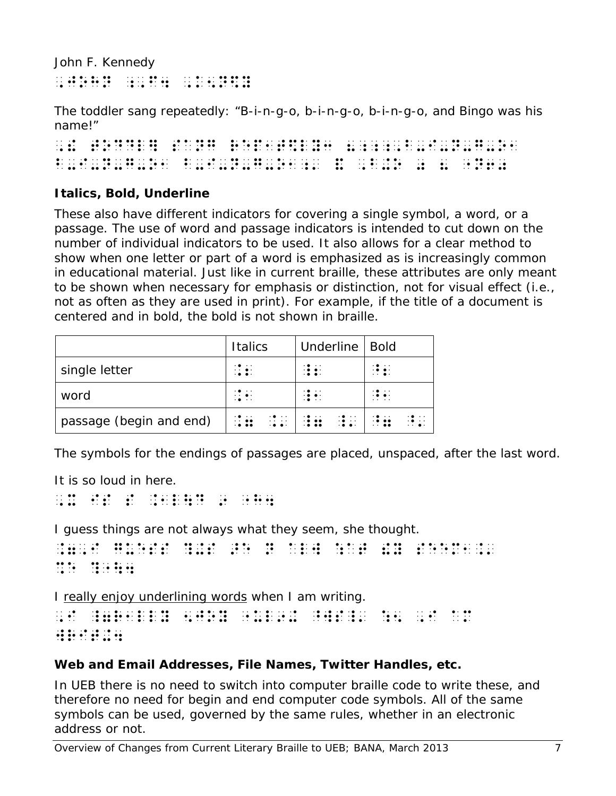John F. Kennedy ,john ;,f4 ,k5n\$y

The toddler sang repeatedly: "B-i-n-g-o, b-i-n-g-o, b-i-n-g-o, and Bingo was his name!"

, to a line of today and the origin of the sange of the sange of the control of the sange of the sange of the<br>The same of the sange of the sange of the sange of the sange of the same of the same of the sange of the sange<br>T b-i-n-d-o-b-i-n-d-o-b-i-n-d-o-b-i-n-d-o-b-i-n-d-o-b-i-n-d-o-b-i-n-d-o-b-i-n-d-o-b-i-n-d-o-b-i-n-d-o-b-i-n-d-o-<br>B-i-n-d-o-b-i-n-d-o-b-i-n-d-o-b-i-n-d-o-b-i-n-d-o-b-i-n-d-o-b-i-n-d-o-b-i-n-d-o-b-i-n-d-o-b-i-n-d-o-b-i-n-d-d-

## **Italics, Bold, Underline**

These also have different indicators for covering a single symbol, a word, or a passage. The use of word and passage indicators is intended to cut down on the number of individual indicators to be used. It also allows for a clear method to show when one letter or part of a word is emphasized as is increasingly common in educational material. Just like in current braille, these attributes are only meant to be shown when necessary for emphasis or distinction, not for visual effect (i.e., not as often as they are used in print). For example, if the title of a document is centered and in bold, the bold is not shown in braille.

|                         | <b>Italics</b>                                                                                                  | Underline   Bold                                             |                                                                                      |
|-------------------------|-----------------------------------------------------------------------------------------------------------------|--------------------------------------------------------------|--------------------------------------------------------------------------------------|
| single letter           | $\cdots$ .<br>$\cdot$                                                                                           | $\mathbf{1}$ :                                               | $\cdot \bullet \bullet \cdot$<br>$\cdots$                                            |
| word                    | $\cdots$ .<br>$\cdot$                                                                                           | $\cdot \bullet \cdot \cdot$<br>$\cdot \bullet \bullet \cdot$ | $\cdot \bullet \cdot \cdot$<br>$\cdot$<br>.                                          |
| passage (begin and end) | $\mathbb{Z}^{\bullet}$ , $\mathbb{Z}^{\bullet}$<br>$\cdot \bullet \cdot \cdot$<br>$\cdots$<br>. 0.00<br>$\cdot$ | 13.11<br>$\mathbb{R}$ :<br>$\cdot$                           | $\cdot$<br>$\mathbf{12.46}$<br>$\cdot \bullet \cdot \cdot$<br>$\cdots$<br>$\cdots$ . |

The symbols for the endings of passages are placed, unspaced, after the last word.

It is so *loud* in here.

```
,x is s .1l\d 9 "h4
```
*I guess things are not always what they seem,* she thought.

```
.7,i guess ?+s >e n alw :at !y seem1.'
%e ?"\4
```
I really enjoy underlining words when I am writing.

```
,i za na matangan na kambangan na mangangan na ang kambang sa kambang na mana na mana na mana na kambang.<br>Ting tina na ang ang ang ang ang sa sa sa na mang mana ang mang sa mana na mana na mana na mana na sa sa tina<br>Tang t
\frac{1}{2} with \frac{1}{2} , \frac{1}{2} , \frac{1}{2} , \frac{1}{2} , \frac{1}{2}
```
## **Web and Email Addresses, File Names, Twitter Handles, etc.**

In UEB there is no need to switch into computer braille code to write these, and therefore no need for begin and end computer code symbols. All of the same symbols can be used, governed by the same rules, whether in an electronic address or not.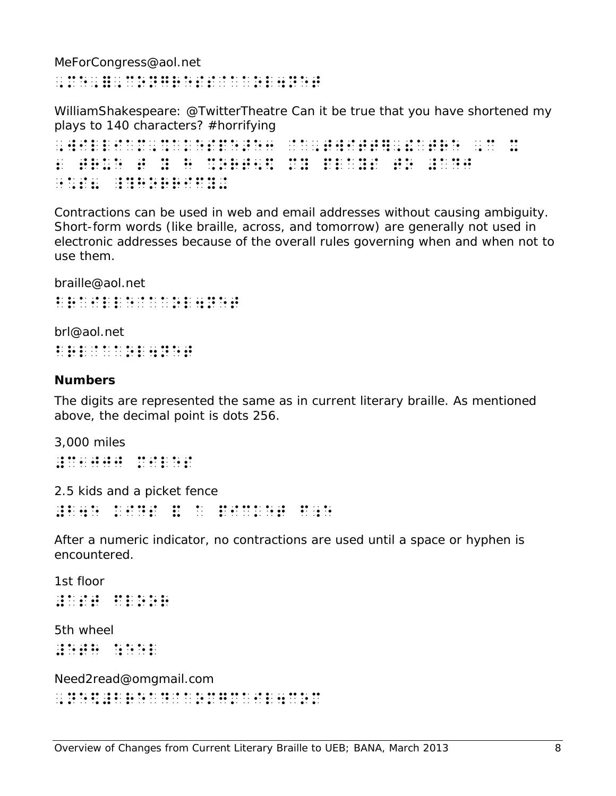MeForCongress@aol.net

,me,=,congress@aaol4net

WilliamShakespeare: @TwitterTheatre Can it be true that you have shortened my plays to 140 characters? #horrifying

, will be a completed by the body of the back of the completed by the second second second second second secon<br>The back property of the state second second second second second back and back as the back of the state of th<br> 2 true to actual company and the second to actual company in the second to actual company of the second second<br>2 true to actual company and the second to actual company in the second to actual company in the second second<br>  $\frac{1}{2}$  ,  $\frac{1}{2}$  ,  $\frac{1}{2}$  ,  $\frac{1}{2}$  ,  $\frac{1}{2}$  ,  $\frac{1}{2}$  ,  $\frac{1}{2}$  ,  $\frac{1}{2}$  ,  $\frac{1}{2}$  ,  $\frac{1}{2}$  ,  $\frac{1}{2}$  ,  $\frac{1}{2}$  ,  $\frac{1}{2}$  ,  $\frac{1}{2}$  ,  $\frac{1}{2}$  ,  $\frac{1}{2}$  ,  $\frac{1}{2}$  ,  $\frac{1}{2}$  ,  $\frac{1$ 

Contractions can be used in web and email addresses without causing ambiguity. Short-form words (like braille, across, and tomorrow) are generally not used in electronic addresses because of the overall rules governing when and when not to use them.

braille@aol.net

brailleachd a chailleachd a chan an 1980 anns an 1980.<br>1981 - An Iomrailleachd anns an 1980 anns an 1980 an 1980.<br>1982 - An Iomrailleachd anns an 1980 an 1980 an 1980.

brl@aol.net brl@aaol4net

#### **Numbers**

The digits are represented the same as in current literary braille. As mentioned above, the decimal point is dots 256.

3,000 miles #c1jjj miles

2.5 kids and a picket fence #b4e kids & a picket f;e

After a numeric indicator, no contractions are used until a space or hyphen is encountered.

1st floor #ast floor 5th wheel #eth : eel + eel + eel + eel + eel + eel + eel + eel + eel + eel + eel + eel + eel + eel + eel + eel + eel + e

Need2read@omgmail.com ,ne\$#bread@aomgmail4com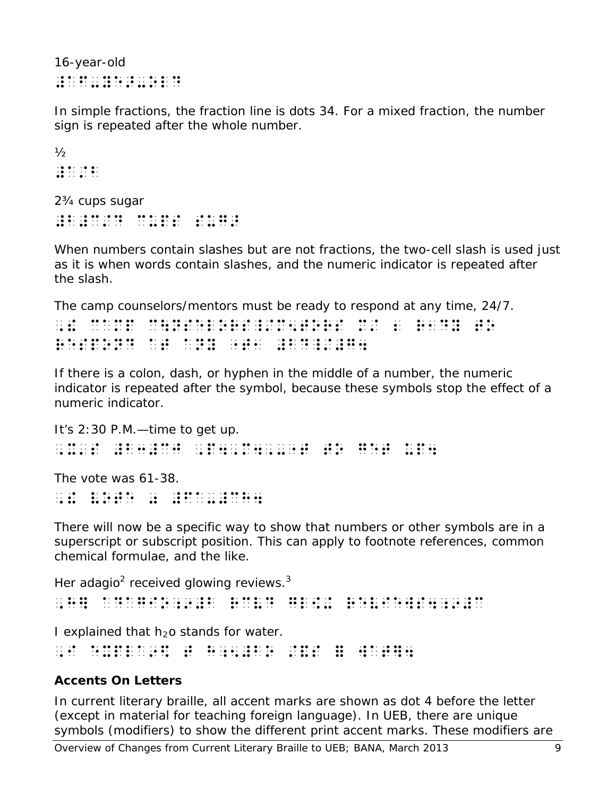16-year-old #af-ye>-old

In simple fractions, the fraction line is dots 34. For a mixed fraction, the number sign is repeated after the whole number.

 $\frac{1}{2}$ #a/b

2¾ cups sugar #b#c/d cups sug>

When numbers contain slashes but are not fractions, the two-cell slash is used just as it is when words contain slashes, and the numeric indicator is repeated after the slash.

The camp counselors/mentors must be ready to respond at any time, 24/7.

,! camp c\nselors\_/m5tors m/ 2 r1dy to respond at any  $\frac{1}{2}$   $\frac{1}{2}$   $\frac{1}{2}$   $\frac{1}{2}$   $\frac{1}{2}$   $\frac{1}{2}$   $\frac{1}{2}$   $\frac{1}{2}$   $\frac{1}{2}$   $\frac{1}{2}$   $\frac{1}{2}$   $\frac{1}{2}$   $\frac{1}{2}$   $\frac{1}{2}$   $\frac{1}{2}$   $\frac{1}{2}$   $\frac{1}{2}$   $\frac{1}{2}$   $\frac{1}{2}$   $\frac{1}{2}$   $\frac{1}{$ 

If there is a colon, dash, or hyphen in the middle of a number, the numeric indicator is repeated after the symbol, because these symbols stop the effect of a numeric indicator.

```
It's 2:30 P.M.—time to get up.
,x's #b3#cj , to b2 , to de the most stated to the most classical states and the most classical states of the<br>The total states and the top to design the design to get up to get updates and to get updates and the most co<br>Th
The vote was 61-38.
, \frac{1}{2} , \frac{1}{2} , \frac{1}{2} , \frac{1}{2} , \frac{1}{2} , \frac{1}{2} , \frac{1}{2} , \frac{1}{2} , \frac{1}{2} , \frac{1}{2} , \frac{1}{2} , \frac{1}{2} , \frac{1}{2} , \frac{1}{2} , \frac{1}{2} , \frac{1}{2} , \frac{1}{2} , \frac{1}{2} , \frac
```
There will now be a specific way to show that numbers or other symbols are in a superscript or subscript position. This can apply to footnote references, common chemical formulae, and the like.

Her adagio<sup>2</sup> received glowing reviews. $3$ ,h) adagio;9 adagio;9 adagio;9 adagio;9 adagio;9 adagio;9 adagio;9 adagio;9 adagio;9 adagio;9 adagio;9 adagio;<br>11 adagio:11 adagio;9 adagio;9 adagio;9 adagio;9 adagio;9 adagio;9 adagio;9 adagio;9 adagio;9 adagio;9 adagio<br> I explained that  $h_2$ o stands for water.

, in the second construction of the second construction of the second construction of the second construction of  $\mathcal{L}_1$ 

## **Accents On Letters**

In current literary braille, all accent marks are shown as dot 4 before the letter (except in material for teaching foreign language). In UEB, there are unique symbols (modifiers) to show the different print accent marks. These modifiers are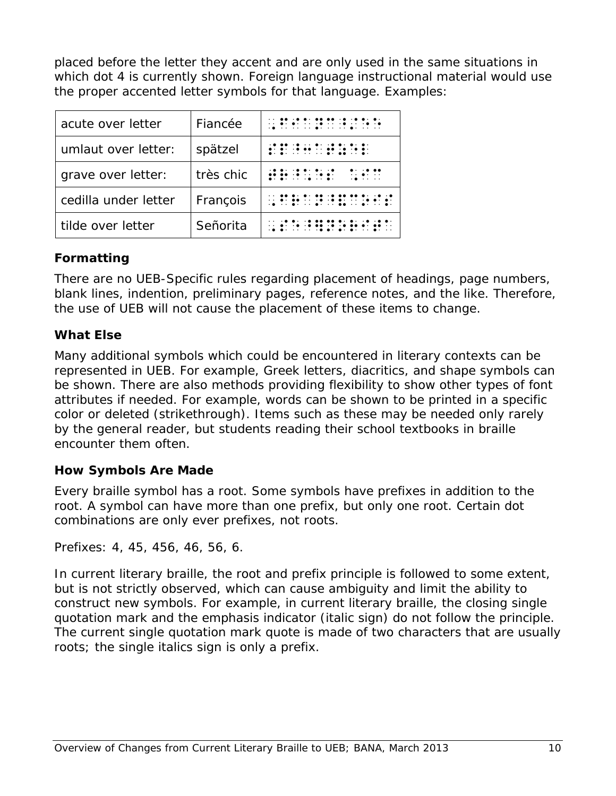placed before the letter they accent and are only used in the same situations in which dot 4 is currently shown. Foreign language instructional material would use the proper accented letter symbols for that language. Examples:

| acute over letter    | Fiancée   |                                                                                                                                    |
|----------------------|-----------|------------------------------------------------------------------------------------------------------------------------------------|
| umlaut over letter:  | spätzel   | .<br>$\bullet \cdot \cdot \cdot \cdot \cdot \cdot \cdot \cdot \cdot \bullet \cdot \bullet \bullet \cdot \cdot \cdot \bullet \cdot$ |
| grave over letter:   | très chic | $\cdot$<br>. <b>. . .</b> .<br>.<br>$\cdot$                                                                                        |
| cedilla under letter | François  | .                                                                                                                                  |
| tilde over letter    | Señorita  |                                                                                                                                    |

### **Formatting**

There are no UEB-Specific rules regarding placement of headings, page numbers, blank lines, indention, preliminary pages, reference notes, and the like. Therefore, the use of UEB will not cause the placement of these items to change.

### **What Else**

Many additional symbols which could be encountered in literary contexts can be represented in UEB. For example, Greek letters, diacritics, and shape symbols can be shown. There are also methods providing flexibility to show other types of font attributes if needed. For example, words can be shown to be printed in a specific color or deleted (strikethrough). Items such as these may be needed only rarely by the general reader, but students reading their school textbooks in braille encounter them often.

### **How Symbols Are Made**

Every braille symbol has a root. Some symbols have prefixes in addition to the root. A symbol can have more than one prefix, but only one root. Certain dot combinations are only ever prefixes, not roots.

Prefixes: 4, 45, 456, 46, 56, 6.

In current literary braille, the root and prefix principle is followed to some extent, but is not strictly observed, which can cause ambiguity and limit the ability to construct new symbols. For example, in current literary braille, the closing single quotation mark and the emphasis indicator (italic sign) do not follow the principle. The current single quotation mark quote is made of two characters that are usually roots; the single italics sign is only a prefix.